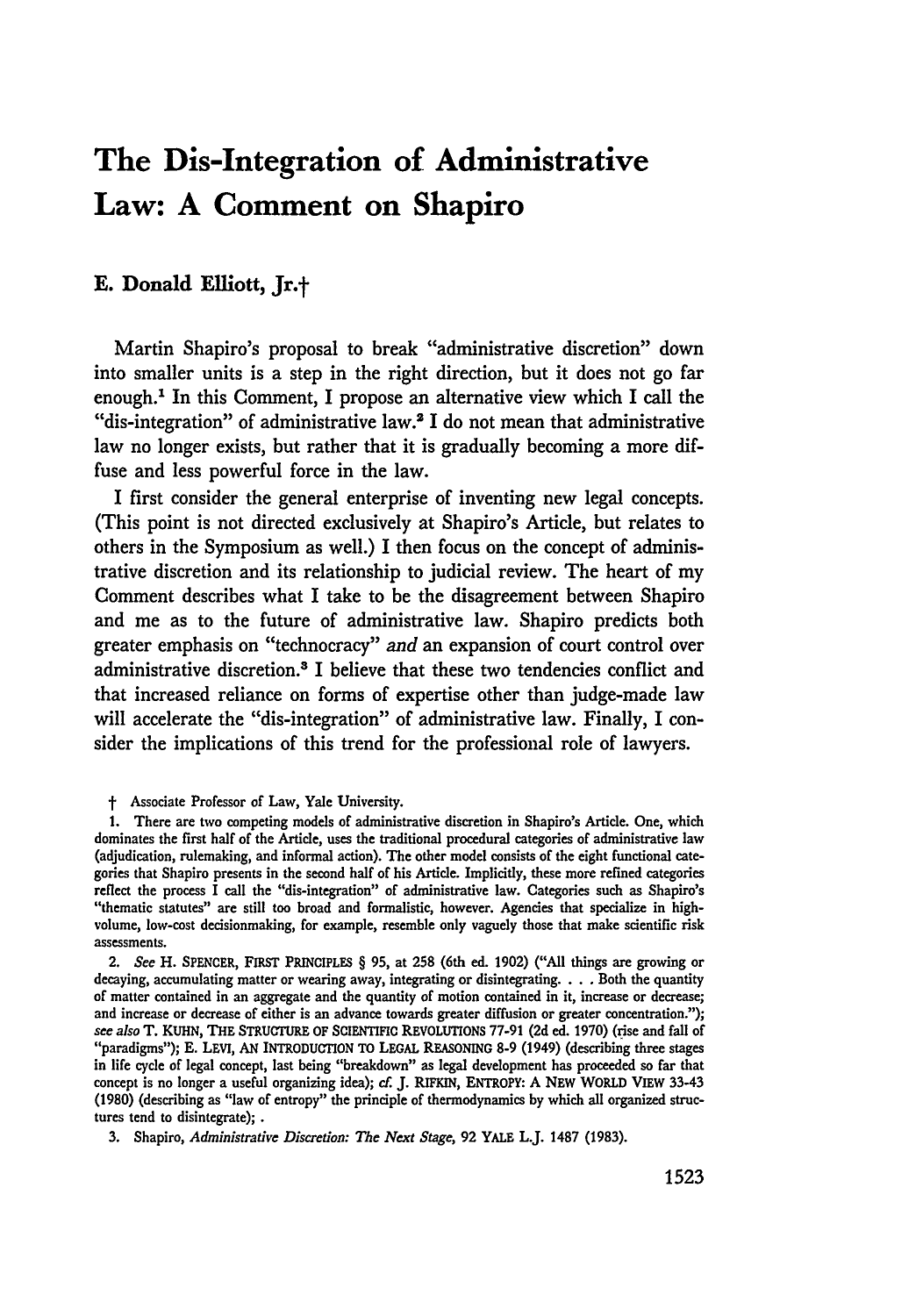# **The Dis-Integration of Administrative Law: A Comment on Shapiro**

# **E.** Donald Elliott, Jr.t

Martin Shapiro's proposal to break "administrative discretion" down into smaller units is a step in the right direction, but it does not go far enough.1 In this Comment, I propose an alternative view which I call the "dis-integration" of administrative law.<sup>2</sup> I do not mean that administrative law no longer exists, but rather that it is gradually becoming a more diffuse and less powerful force in the law.

I first consider the general enterprise of inventing new legal concepts. (This point is not directed exclusively at Shapiro's Article, but relates to others in the Symposium as well.) I then focus on the concept of administrative discretion and its relationship to judicial review. The heart of my Comment describes what I take to be the disagreement between Shapiro and me as to the future of administrative law. Shapiro predicts both greater emphasis on "technocracy" *and* an expansion of court control over administrative discretion.3 I believe that these two tendencies conflict and that increased reliance on forms of expertise other than judge-made law will accelerate the "dis-integration" of administrative law. Finally, I consider the implications of this trend for the professional role of lawyers.

t Associate Professor of Law, Yale University.

**1.** There are two competing models of administrative discretion in Shapiro's Article. One, which dominates the first half of the Article, uses the traditional procedural categories of administrative law (adjudication, rulemaking, and informal action). The other model consists of the eight functional categories that Shapiro presents in the second half of his Article. Implicitly, these more refined categories reflect the process **I** call the "dis-integration" of administrative law. Categories such as Shapiro's "thematic statutes" are still too broad and formalistic, however. Agencies that specialize in highvolume, low-cost decisionmaking, for example, resemble only vaguely those that make scientific risk assessments.

2. *See* H. **SPENCER,** FIRST PRINCIPLES § **95,** at **258** (6th ed. **1902) ("All** things are growing or decaying, accumulating matter or wearing away, integrating or disintegrating. . **.** . Both the quantity of matter contained in an aggregate and the quantity of motion contained in it, increase or decrease; and increase or decrease of either is an advance towards greater diffusion or greater concentration."); *see also* T. **KUHN,** THE STRUCTURE OF SCIENTIFIC **REVOLUTIONS 77-91 (2d** ed. **1970)** (rise and fall of "paradigms"); **E.** LEVI, **AN INTRODUCTION** TO **LEGAL REASONING 8-9** (1949) (describing three stages in life cycle of legal concept, last being "breakdown" as legal development has proceeded so far that concept is no longer a useful organizing idea); *c.* **J.** RIFKIN, ENTROPY: **A** NEW WORLD VIEW 33-43 **(1980)** (describing as "law **of** entropy" the principle of thermodynamics **by** which all organized structures tend to disintegrate); .

**3.** Shapiro, *Administrative Discretion: The Next Stage,* **92** YALE L.J. **1487 (1983).**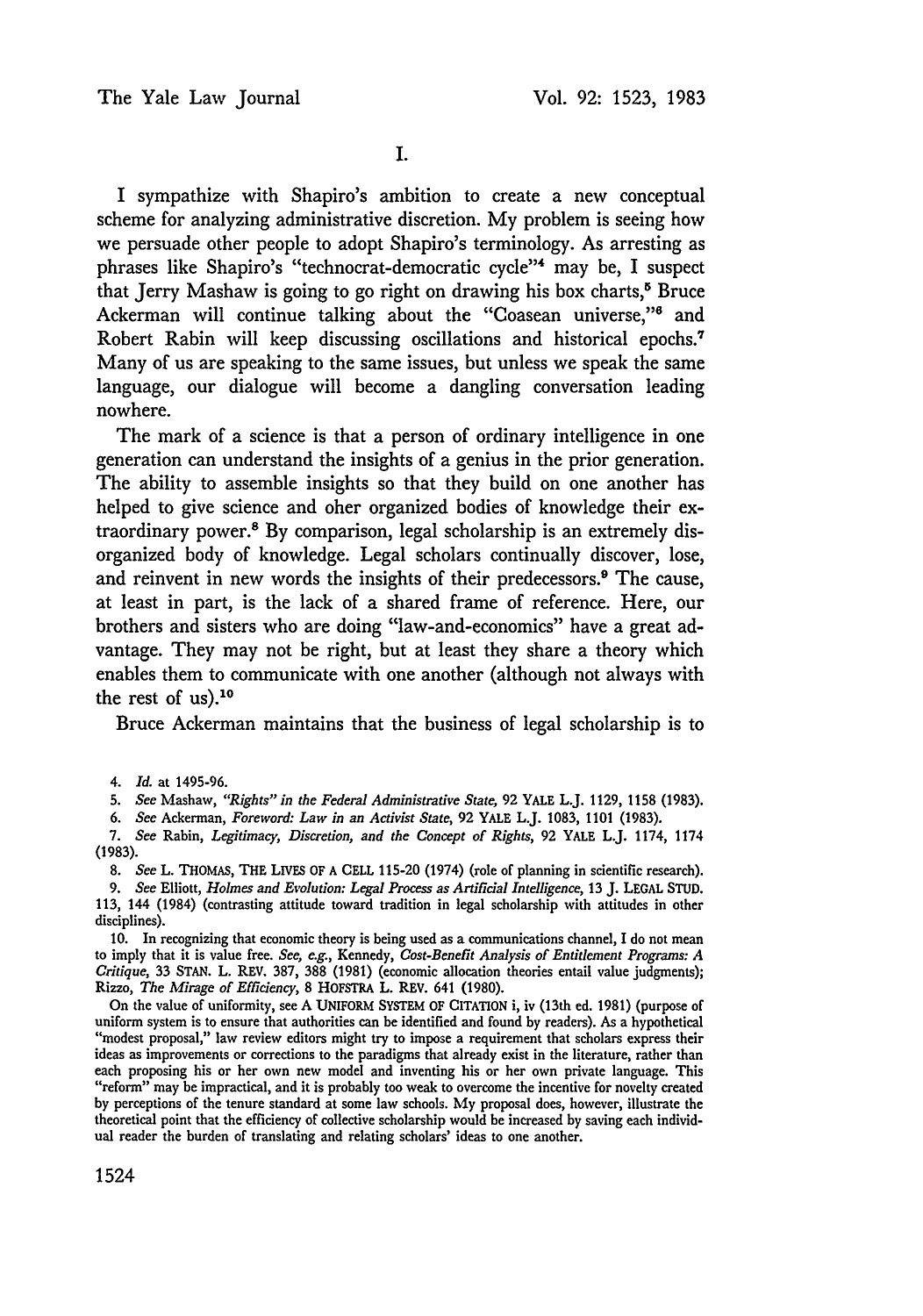**I.**

I sympathize with Shapiro's ambition to create a new conceptual scheme for analyzing administrative discretion. My problem is seeing how we persuade other people to adopt Shapiro's terminology. As arresting as phrases like Shapiro's "technocrat-democratic cycle"<sup>4</sup> may be, I suspect that Jerry Mashaw is going to go right on drawing his box charts,<sup>8</sup> Bruce Ackerman will continue talking about the "Coasean universe,"6 and Robert Rabin will keep discussing oscillations and historical epochs.' Many of us are speaking to the same issues, but unless we speak the same language, our dialogue will become a dangling conversation leading nowhere.

The mark of a science is that a person of ordinary intelligence in one generation can understand the insights of a genius in the prior generation. The ability to assemble insights so that they build on one another has helped to give science and oher organized bodies of knowledge their extraordinary power.<sup>8</sup> By comparison, legal scholarship is an extremely disorganized body of knowledge. Legal scholars continually discover, lose, and reinvent in new words the insights of their predecessors.<sup>9</sup> The cause, at least in part, is the lack of a shared frame of reference. Here, our brothers and sisters who are doing "law-and-economics" have a great advantage. They may not be right, but at least they share a theory which enables them to communicate with one another (although not always with the rest of us).<sup>10</sup>

Bruce Ackerman maintains that the business of legal scholarship is to

*6. See* Ackerman, *Foreword: Law in an Activist State,* 92 YALE L.J. 1083, 1101 (1983).

7. *See* Rabin, *Legitimacy, Discretion, and the Concept of Rights,* 92 YALE L.J. 1174, 1174 **(1983).**

*8. See* L. THOMAS, THE LIVES OF A CELL 115-20 (1974) (role of planning in scientific research). *9. See* Elliott, *Holmes and Evolution: Legal Process as Artificial Intelligence,* 13 J. LEGAL STUD.

113, 144 (1984) (contrasting attitude toward tradition in legal scholarship with attitudes in other disciplines).

**10.** In recognizing that economic theory is being used as a communications channel, I do not mean to imply that it is value free. *See, e.g.,* Kennedy, *Cost-Benefit Analysis of Entitlement Programs: A Critique,* 33 STAN. L. REV. 387, 388 (1981) (economic allocation theories entail value judgments); Rizzo, *The Mirage of Efficiency,* 8 HOFSTRA L. REV. 641 (1980).

On the value of uniformity, see A UNIFORM SYSTEM OF CITATION i, iv (13th **ed.** 1981) (purpose of uniform system is to ensure that authorities can be identified and found by readers). As a hypothetical "modest proposal," law review editors might try to impose a requirement that scholars express their ideas as improvements or corrections to the paradigms that already exist in the literature, rather than each proposing his or her own new model and inventing his or her own private language. This "reform" may be impractical, and it is probably too weak to overcome the incentive for novelty created by perceptions of the tenure standard at some law schools. **My** proposal does, however, illustrate the theoretical point that the efficiency of collective scholarship would **be** increased by saving each individual reader the burden of translating and relating scholars' ideas to one another.

1524

*<sup>4.</sup> Id.* at 1495-96.

*<sup>5.</sup> See* Mashaw, *"Rights" in the Federal Administrative State,* 92 YALE L.J. 1129, 1158 (1983).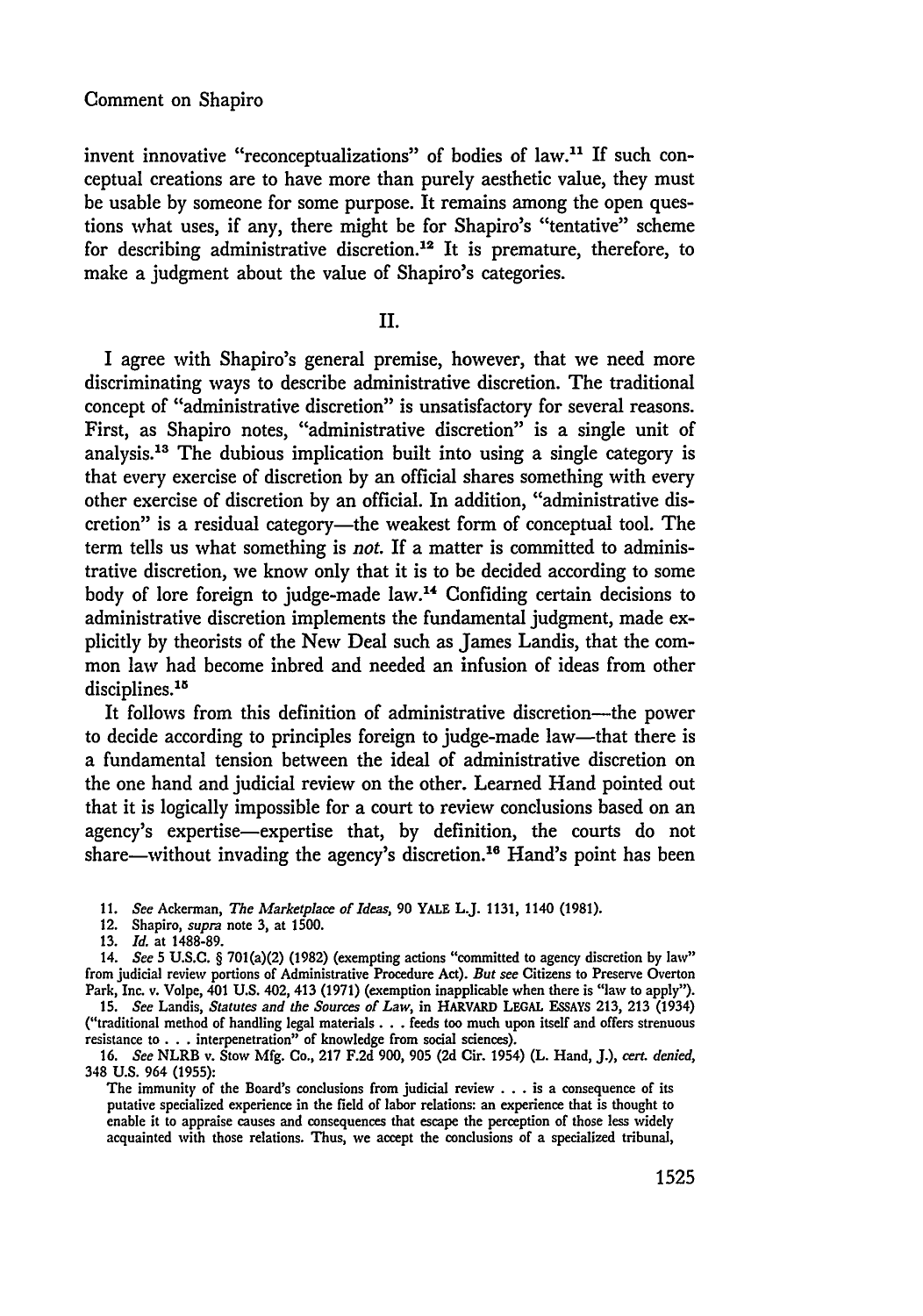invent innovative "reconceptualizations" of bodies of law.<sup>11</sup> If such conceptual creations are to have more than purely aesthetic value, they must be usable by someone for some purpose. It remains among the open questions what uses, if any, there might be for Shapiro's "tentative" scheme for describing administrative discretion.<sup>12</sup> It is premature, therefore, to make a judgment about the value of Shapiro's categories.

II.

I agree with Shapiro's general premise, however, that we need more discriminating ways to describe administrative discretion. The traditional concept of "administrative discretion" is unsatisfactory for several reasons. First, as Shapiro notes, "administrative discretion" is a single unit of analysis.<sup>13</sup> The dubious implication built into using a single category is that every exercise of discretion by an official shares something with every other exercise of discretion by an official. In addition, "administrative discretion" is a residual category-the weakest form of conceptual tool. The term tells us what something is *not.* If a matter is committed to administrative discretion, we know only that it is to be decided according to some body of lore foreign to judge-made law.14 Confiding certain decisions to administrative discretion implements the fundamental judgment, made explicitly by theorists of the New Deal such as James Landis, that the common law had become inbred and needed an infusion of ideas from other disciplines.<sup>15</sup>

It follows from this definition of administrative discretion—the power to decide according to principles foreign to judge-made law-that there is a fundamental tension between the ideal of administrative discretion on the one hand and judicial review on the other. Learned Hand pointed out that it is logically impossible for a court to review conclusions based on an agency's expertise-expertise that, by definition, the courts do not share—without invading the agency's discretion.<sup>16</sup> Hand's point has been

12. Shapiro, *supra* note 3, at 1500.

**15.** *See* Landis, *Statutes and the Sources of Law,* in HARVARD LEGAL **ESSAYS** 213, 213 (1934) ("traditional method of handling legal materials. **. .** feeds too much upon itself and offers strenuous resistance to **. . .**interpenetration" of knowledge from social sciences).

The immunity of the Board's conclusions from judicial review **...**is a consequence of its putative specialized experience in the field of labor relations: an experience that is thought to enable it to appraise causes and consequences that escape the perception of those less widely acquainted with those relations. Thus, we accept the conclusions of a specialized tribunal,

<sup>11.</sup> *See* Ackerman, *The Marketplace of Ideas,* 90 YALE L.J. 1131, 1140 (1981).

<sup>13.</sup> *Id.* at 1488-89.

<sup>14.</sup> *See* 5 U.S.C. § 701(a)(2) (1982) (exempting actions "committed to agency discretion by law" from judicial review portions of Administrative Procedure Act). *But see* Citizens to Preserve Overton Park, Inc. v. Volpe, 401 U.S. 402, 413 (1971) (exemption inapplicable when there is "law to apply").

**<sup>16.</sup>** *See* NLRB v. Stow **Mfg.** Co., **217 F.2d 900, 905 (2d** Cir. 1954) (L. Hand, **J.),** *cert. denied,* 348 **U.S.** 964 **(1955):**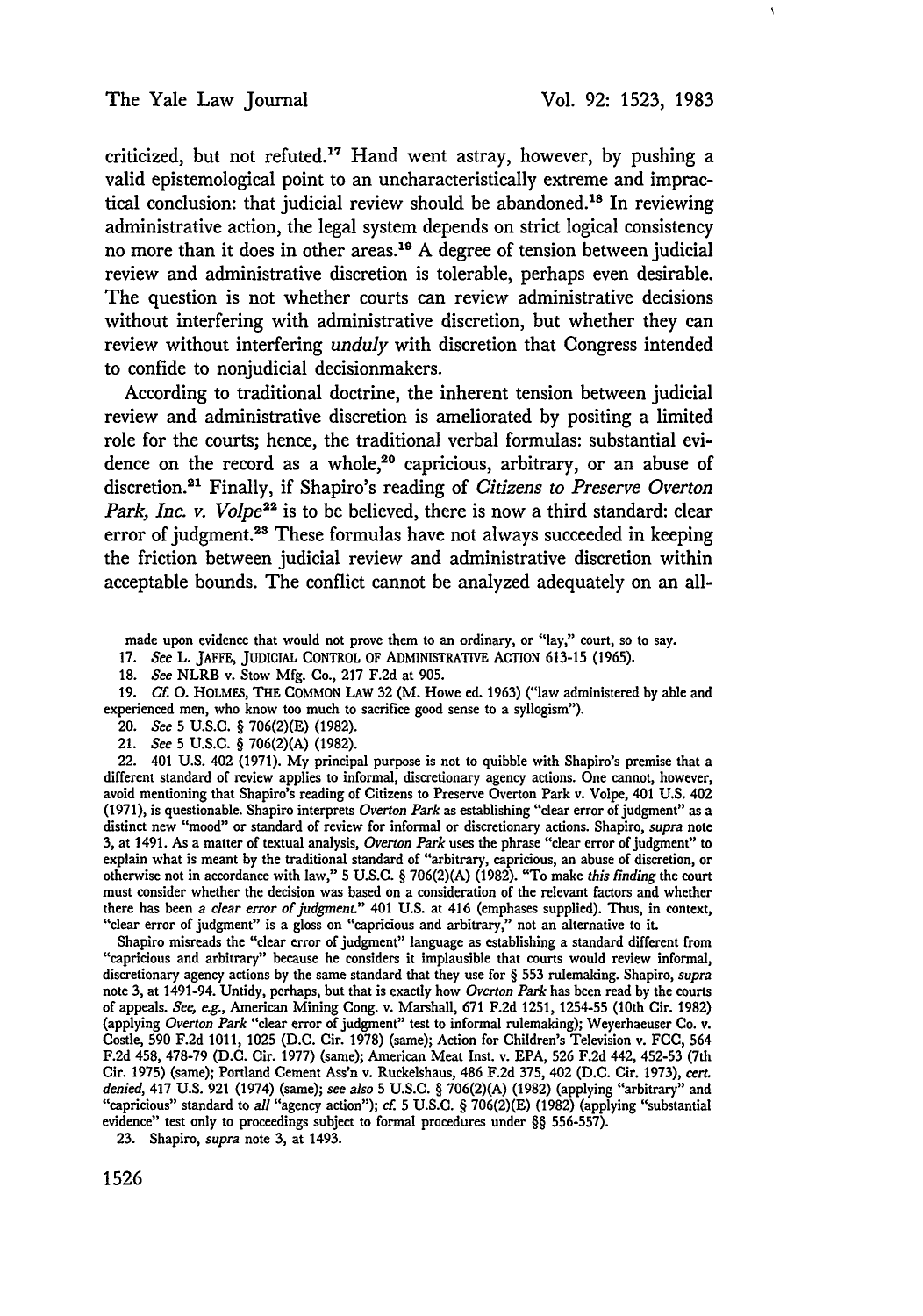criticized, but not refuted. 7 Hand went astray, however, **by** pushing a valid epistemological point to an uncharacteristically extreme and impractical conclusion: that judicial review should be abandoned.<sup>18</sup> In reviewing administrative action, the legal system depends on strict logical consistency no more than it does in other areas."9 **A** degree of tension between judicial review and administrative discretion is tolerable, perhaps even desirable. The question is not whether courts can review administrative decisions without interfering with administrative discretion, but whether they can review without interfering *unduly* with discretion that Congress intended to confide to nonjudicial decisionmakers.

According to traditional doctrine, the inherent tension between judicial review and administrative discretion is ameliorated **by** positing a limited role for the courts; hence, the traditional verbal formulas: substantial evidence on the record as a whole,<sup>20</sup> capricious, arbitrary, or an abuse of discretion.<sup>21</sup> Finally, if Shapiro's reading of *Citizens to Preserve Overton Park, Inc. v. Volpe<sup>22</sup>* is to be believed, there is now a third standard: clear error of judgment.<sup>23</sup> These formulas have not always succeeded in keeping the friction between judicial review and administrative discretion within acceptable bounds. The conflict cannot **be** analyzed adequately on an all-

made upon evidence that would not prove them to an ordinary, or "lay," court, so to say.

**17.** *See* L. **JAFFE,** JUDICIAL CONTROL OF **ADMINISTRATIVE** ACTION **613-15** (1965).

**18.** *See* NLRB v. Stow **Mfg.** Co., **217 F.2d** at **905.**

**19.** *Gf.* **0.** HOLMES, THE **COMMON** LAW **32** (M. Howe ed. **1963)** ("law administered by able and experienced men, who know too much to sacrifice good sense to a syllogism").

20. *See* 5 **U.S.C.** § **706(2)(E) (1982).**

21. *See* **5 U.S.C.** § 706(2)(A) **(1982).**

22. 401 **U.S.** 402 **(1971). My** principal purpose is not to quibble with Shapiro's premise that a different standard of review applies to informal, discretionary agency actions. One cannot, however, avoid mentioning that Shapiro's reading of Citizens to Preserve Overton Park v. Volpe, 401 **U.S.** 402 **(1971),** is questionable. Shapiro interprets *Overton Park* as establishing "clear error of judgment" as a distinct new "mood" or standard of review for informal or discretionary actions. Shapiro, *supra* note 3, at 1491. As a matter of textual analysis, *Overton Park* uses the phrase "clear error of judgment" to explain what is meant by the traditional standard of "arbitrary, capricious, an abuse of discretion, or otherwise not in accordance with law," **5 U.S.C.** § **706(2)(A) (1982).** "To make *this finding* the court must consider whether the decision was based on a consideration of the relevant factors and whether there has been a clear error of judgment." 401 U.S. at 416 (emphases supplied). Thus, in context, "Clear error of judgment" is a gloss on "capricious and arbitrary," not an alternative to it.

Shapiro misreads the "clear error of judgment" language as establishing a standard different from "capricious and arbitrary" because he considers it implausible that courts would review informal, discretionary agency actions **by** the same standard that they use for **§** 553 rulemaking. Shapiro, *supra* note 3, at 1491-94. Untidy, perhaps, but that is exactly how *Overton Park* has been read by the courts of appeals. *See, e.g.,* American Mining Cong. v. Marshall, 671 F.2d 1251, 1254-55 (10th Cir. 1982) (applying *Overton Park* "clear error of judgment" test to informal rulemaking); Weyerhaeuser Co. v. Costle, 590 F.2d 1011, 1025 **(D.C.** Cir. 1978) (same); Action for Children's Television v. **FCC,** 564 F.2d 458, 478-79 (D.C. Cir. 1977) (same); American Meat Inst. v. EPA, 526 F.2d 442, 452-53 (7th Cir. 1975) (same); Portland Cement Ass'n v. Ruckelshaus, 486 F.2d 375, 402 **(D.C.** Cir. 1973), *cert. denied,* 417 U.S. 921 (1974) (same); *see also* 5 U.S.C. **§** 706(2)(A) (1982) (applying "arbitrary" and "capricious" standard to *all* "agency action"); *cf* 5 U.S.C. **§** 706(2)(E) (1982) (applying "substantial evidence" test only to proceedings subject to formal procedures under **§§ 556-557).**

23. Shapiro, *supra* note 3, at 1493.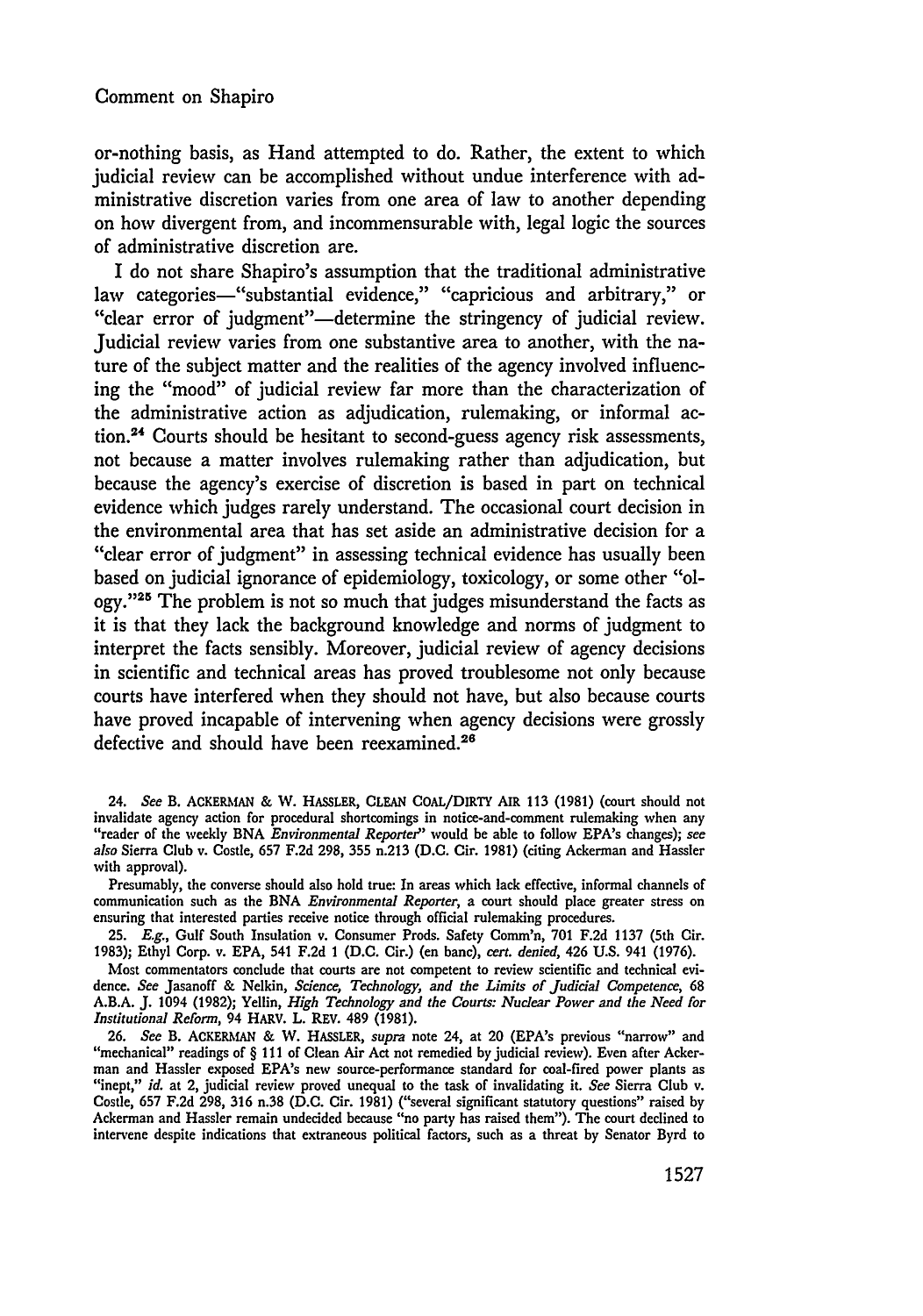or-nothing basis, as Hand attempted to do. Rather, the extent to which judicial review can be accomplished without undue interference with administrative discretion varies from one area of law to another depending on how divergent from, and incommensurable with, legal logic the sources of administrative discretion are.

I do not share Shapiro's assumption that the traditional administrative law categories-"substantial evidence," "capricious and arbitrary," or "clear error of judgment"-determine the stringency of judicial review. Judicial review varies from one substantive area to another, with the nature of the subject matter and the realities of the agency involved influencing the "mood" of judicial review far more than the characterization of the administrative action as adjudication, rulemaking, or informal action.<sup>24</sup> Courts should be hesitant to second-guess agency risk assessments, not because a matter involves rulemaking rather than adjudication, but because the agency's exercise of discretion is based in part on technical evidence which judges rarely understand. The occasional court decision in the environmental area that has set aside an administrative decision for a "clear error of judgment" in assessing technical evidence has usually been based on judicial ignorance of epidemiology, toxicology, or some other "ology."<sup>25</sup> The problem is not so much that judges misunderstand the facts as it is that they lack the background knowledge and norms of judgment to interpret the facts sensibly. Moreover, judicial review of agency decisions in scientific and technical areas has proved troublesome not only because courts have interfered when they should not have, but also because courts have proved incapable of intervening when agency decisions were grossly defective and should have been reexamined.<sup>26</sup>

<sup>24.</sup> *See* B. ACKERMAN **&** W. HASSLER, **CLEAN** COAL/DIRTY AIR **113** (1981) (court should not invalidate agency action for procedural shortcomings in notice-and-comment rulemaking when any "reader of the weekly **BNA** *Environmental Reporter"* would be able to follow EPA's changes); *see also* Sierra Club v. Costle, **657 F.2d 298, 355** n.213 **(D.C.** Cir. **1981)** (citing Ackerman and Hassler with approval).

Presumably, the converse should also hold true: In areas which lack effective, informal channels of communication such as the **BNA** *Environmental Reporter,* a court should place greater stress on ensuring that interested parties receive notice through official rulemaking procedures.

**<sup>25.</sup>** *E.g.,* Gulf South Insulation v. Consumer Prods. Safety Comm'n, **701 F.2d 1137** (5th Cir. **1983);** Ethyl Corp. v. **EPA,** 541 **F.2d 1 (D.C.** Cir.) (en banc), *cert. denied,* 426 **U.S.** 941 **(1976).**

Most commentators conclude that courts are not competent to review scientific and technical evidence. *See* Jasanoff & Nelkin, *Science, Technology, and the Limits of Judicial Competence,* 68 A.B.A. J. 1094 (1982); Yellin, *High Technology and the Courts: Nuclear Power and the Need for Institutional Reform,* 94 HARV. L. REV. 489 (1981).

<sup>26.</sup> *See* B. ACKERMAN & W. HASSLER, *supra* note 24, at 20 (EPA's previous "narrow" and "mechanical" readings of § **111** of Clean Air Act not remedied by judicial review). Even after Ackerman and Hassler exposed EPA's new source-performance standard for coal-fired power plants as "inept," *id.* at 2, judicial review proved unequal to the task of invalidating it. *See* Sierra Club v. Costle, 657 F.2d 298, 316 n.38 (D.C. Cir. 1981) ("several significant statutory questions" raised by Ackerman and Hassler remain undecided because "no party has raised them"). The court declined to intervene despite indications that extraneous political factors, such as a threat by Senator Byrd to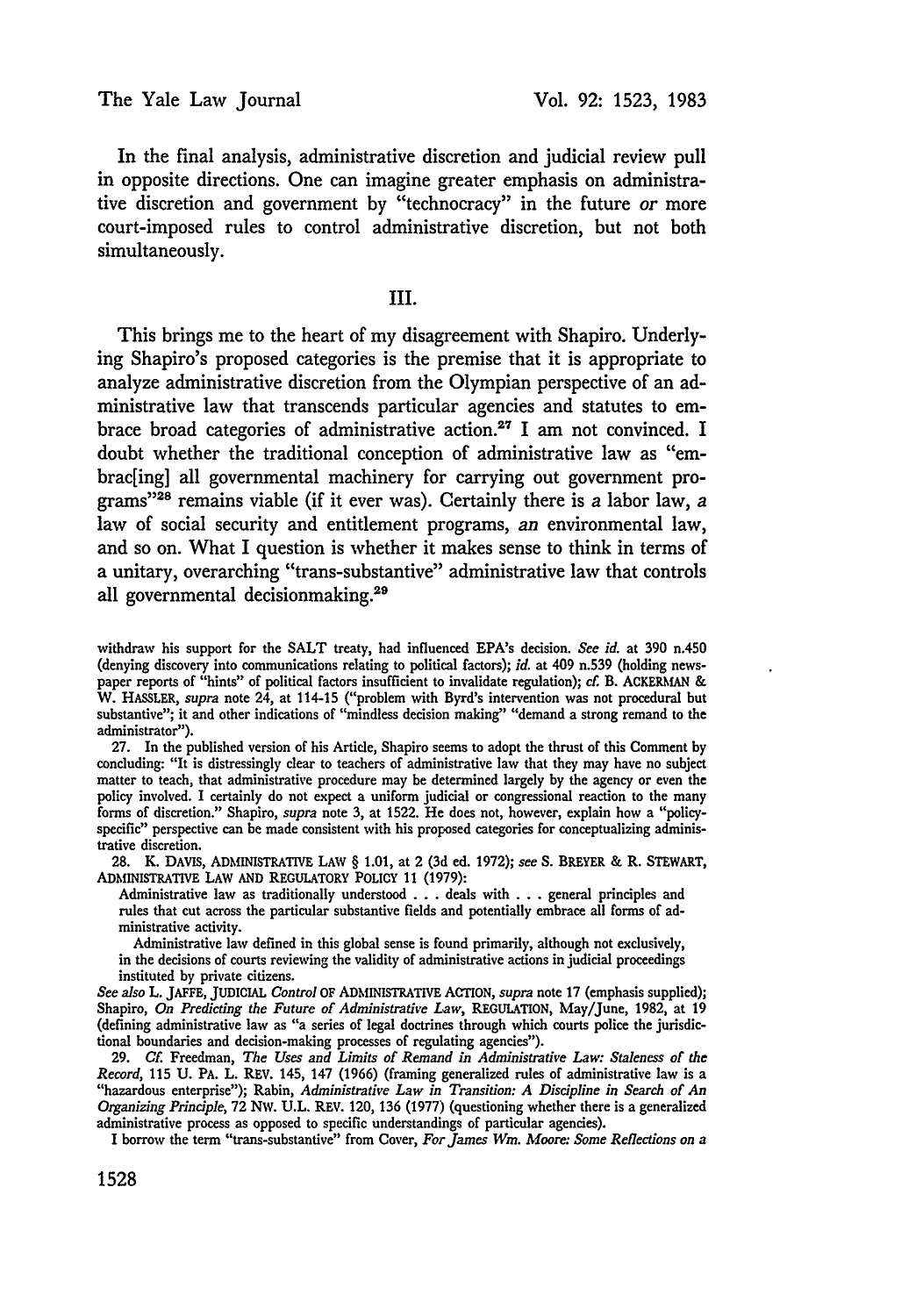In the final analysis, administrative discretion and judicial review pull in opposite directions. One can imagine greater emphasis on administrative discretion and government **by** "technocracy" in the future *or* more court-imposed rules to control administrative discretion, but not both simultaneously.

## III.

This brings me to the heart of my disagreement with Shapiro. Underlying Shapiro's proposed categories is the premise that it is appropriate to analyze administrative discretion from the Olympian perspective of an administrative law that transcends particular agencies and statutes to **em**brace broad categories of administrative action.<sup>27</sup> I am not convinced. I doubt whether the traditional conception of administrative law as "embrac[ing] all governmental machinery for carrying out government programs"<sup>28</sup> remains viable (if it ever was). Certainly there is a labor law, a law of social security and entitlement programs, *an* environmental law, and so on. What I question is whether it makes sense to think in terms of a unitary, overarching "trans-substantive" administrative law that controls all governmental decisionmaking.29

withdraw his support for the SALT treaty, had influenced EPA's decision. *See id.* at **390** n.450 (denying discovery into communications relating to political factors); *id.* at 409 n.539 (holding newspaper reports of "hints" of political factors insufficient to invalidate regulation); *cf.* B. ACKERMAN & W. HASSLER, *supra* note 24, at 114-15 ("problem with Byrd's intervention was not procedural but substantive"; it and other indications of "mindless decision making" "demand a strong remand to the administrator").

**27.** In the published version of his Article, Shapiro seems to adopt the thrust of this Comment **by** concluding: "It is distressingly clear to teachers of administrative law that they may have no subject matter to teach, that administrative procedure may be determined largely **by** the agency or even the policy involved. I certainly do not expect a uniform judicial or congressional reaction to the many forms of discretion." Shapiro, *supra* note **3,** at **1522.** He does not, however, explain how a "policyspecific" perspective can be made consistent with his proposed categories for conceptualizing administrative discretion.

**28.** K. **DAVIS,** ADMINISTRATIVE LAW § **1.01,** at 2 **(3d** ed. **1972);** *see* **S.** BREYER **&** R. STEWART, ADMINISTRATIVE LAW **AND** REGULATORY POLICY **11 (1979):**

Administrative law as traditionally understood **...**deals with **...**general principles and rules that cut across the particular substantive fields and potentially embrace all forms of administrative activity.

Administrative law defined in this global sense is found primarily, although not exclusively, in the decisions of courts reviewing the validity of administrative actions in judicial proceedings instituted **by** private citizens.

*See also* L. JAFFE, JUDICIAL *Control* OF ADMINISTRATIVE ACTION, *supra* note 17 (emphasis supplied); Shapiro, *On Predicting the Future of Administrative Law,* REGULATION, May/June, **1982,** at 19 (defining administrative law as "a series of legal doctrines through which courts police the jurisdictional boundaries and decision-making processes of regulating agencies").

**29.** *Cf.* Freedman, *The Uses and Limits of Remand in Administrative Law: Staleness of the Record,* **115 U.** PA. L. REV. 145, 147 **(1966)** (framing generalized rules of administrative law is a "hazardous enterprise"); Rabin, *Administrative Law in Transition: A Discipline in Search of An Organizing Principle,* **72** NW. **U.L.** REV. 120, **136** (1977) (questioning whether there is a generalized administrative process as opposed to specific understandings of particular agencies).

I borrow the term "trans-substantive" from Cover, *For James Win. Moore: Some Reflections on a*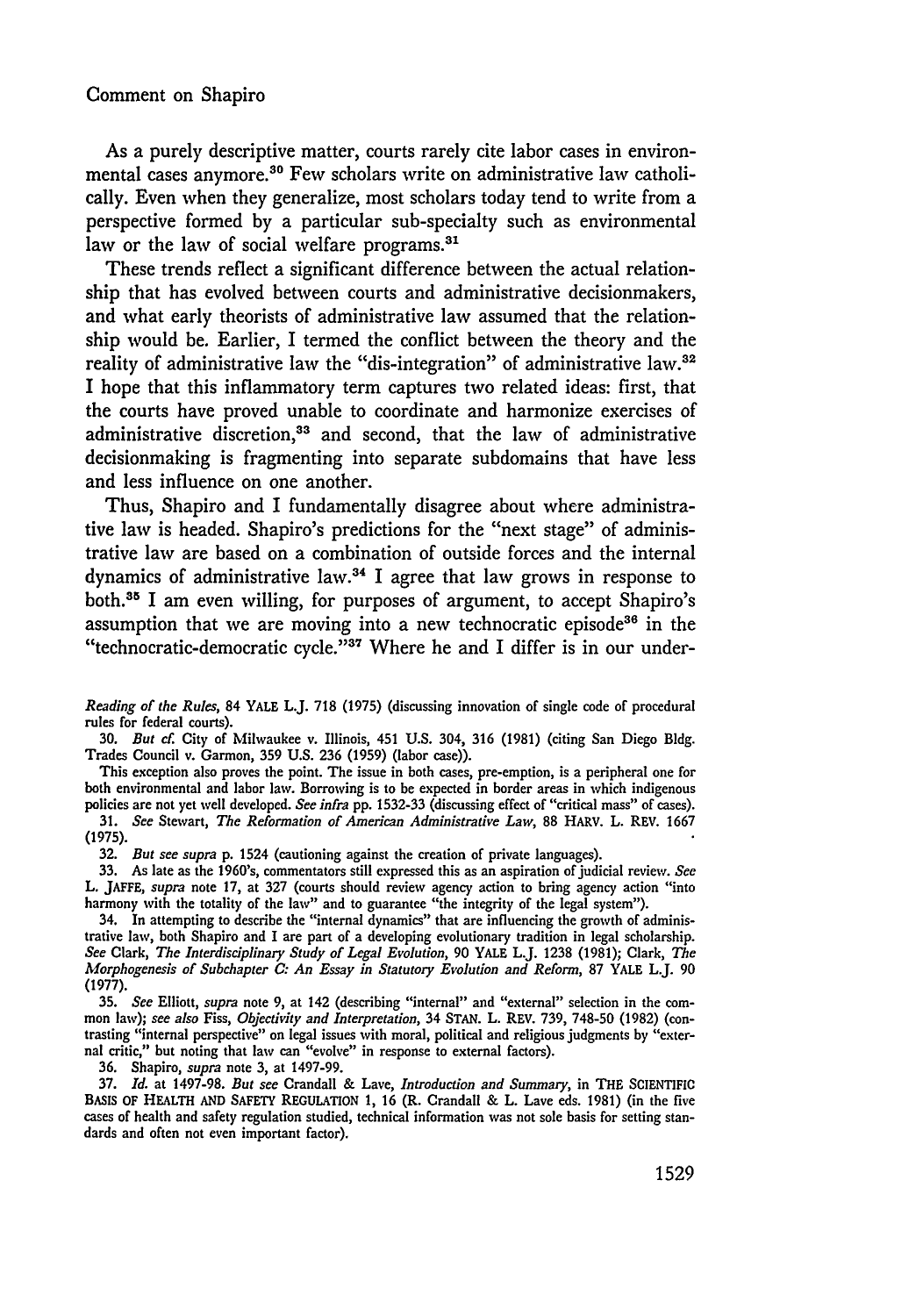#### Comment on Shapiro

As a purely descriptive matter, courts rarely cite labor cases in environmental cases anymore.<sup>30</sup> Few scholars write on administrative law catholically. Even when they generalize, most scholars today tend to write from a perspective formed **by** a particular sub-specialty such as environmental law or the law of social welfare programs.<sup>31</sup>

These trends reflect a significant difference between the actual relationship that has evolved between courts and administrative decisionmakers, and what early theorists of administrative law assumed that the relationship would be. Earlier, I termed the conflict between the theory and the reality of administrative law the "dis-integration" of administrative law.<sup>32</sup> I hope that this inflammatory term captures two related ideas: first, that the courts have proved unable to coordinate and harmonize exercises of administrative discretion,33 and second, that the law of administrative decisionmaking is fragmenting into separate subdomains that have less and less influence on one another.

Thus, Shapiro and I fundamentally disagree about where administrative law is headed. Shapiro's predictions for the "next stage" of administrative law are based on a combination of outside forces and the internal dynamics of administrative law.34 I agree that law grows in response to **both.35 I** am even willing, for purposes of argument, to accept Shapiro's assumption that we are moving into a new technocratic episode<sup>36</sup> in the "technocratic-democratic cycle." 37 Where he and I differ is in our under-

*Reading of the Rules,* 84 YALE L.J. **718** (1975) (discussing innovation of single code of procedural rules for federal courts).

**30.** But **c.** City of Milwaukee v. Illinois, 451 **U.S.** 304, **316 (1981)** (citing San Diego **Bldg.** Trades Council v. Garmon, **359 U.S. 236 (1959)** (labor case)).

This exception also proves the point. The issue in both cases, pre-emption, is a peripheral one for both environmental and labor law. Borrowing is to be expected in border areas in which indigenous policies are not yet well developed. *See infra* **pp. 1532-33** (discussing effect of "critical mass" of cases).

**31.** *See* Stewart, *The Reformation of American Administrative Law,* **88** HARV. L. REV. **1667** (1975).

**32.** *But see supra* **p.** 1524 (cautioning against the creation of private languages).

**33.** As late as the 1960's, commentators still expressed this as an aspiration of judicial review. *See* L. **JAFFE,** *supra* note **17,** at 327 (courts should review agency action to bring agency action "into harmony with the totality of the law" and to guarantee "the integrity of the legal system").

34. In attempting to describe the "internal dynamics" that are influencing the growth of administrative law, both Shapiro and I are part of a developing evolutionary tradition in legal scholarship. *See* Clark, *The Interdisciplinary Study of Legal Evolution,* **90** YALE L.J. **1238 (1981);** Clark, *The Morphogenesis of Subchapter C: An Essay in Statutory Evolution and Reform,* **87** YALE L.J. **<sup>90</sup> (1977).**

**35.** *See* Elliott, *supra* note **9,** at 142 (describing "internal" and "external" selection in the com mon law); *see also* Fiss, *Objectivity and Interpretation,* 34 **STAN.** L. REv. **739, 748-50 (1982)** (contrasting "internal perspective" on legal issues with moral, political and religious judgments **by** "external critic," but noting that law can "evolve" in response to external factors).

**36.** Shapiro, *supra* note **3,** at **1497-99.**

**37.** *Id.* at **1497-98.** *But see* Crandall **&** Lave, *Introduction and Summary,* in THE SCIENTFIC **BASIS** OF HEALTH **AND** SAFETY REGULATION **1, 16** (R. Crandall **&** L. Lave eds. **1981)** (in the five cases of health and safety regulation studied, technical information was not sole basis for setting standards and often not even important factor).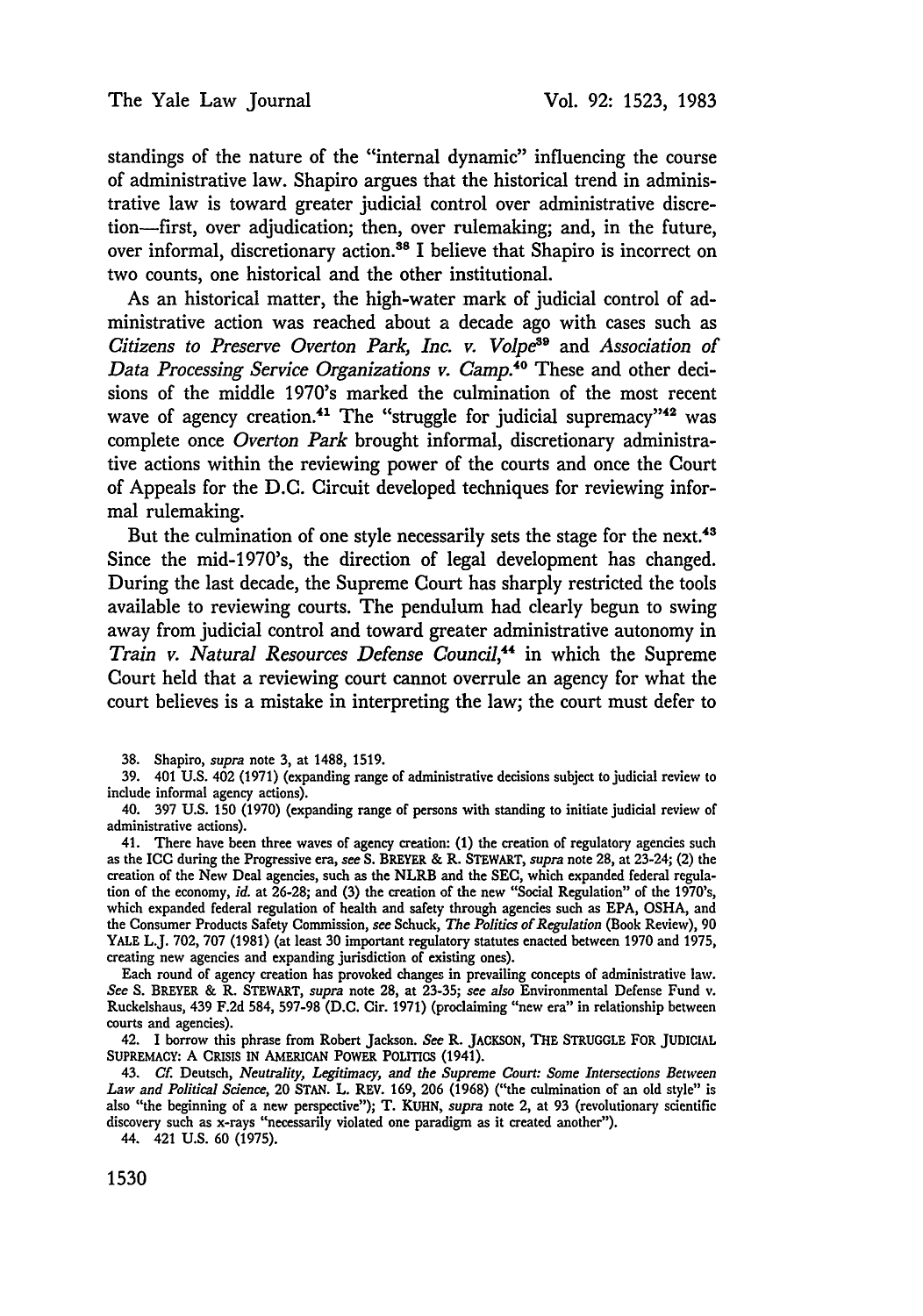standings of the nature of the "internal dynamic" influencing the course of administrative law. Shapiro argues that the historical trend in administrative law is toward greater judicial control over administrative discretion-first, over adjudication; then, over rulemaking; and, in the future, over informal, discretionary action.<sup>38</sup> I believe that Shapiro is incorrect on two counts, one historical and the other institutional.

As an historical matter, the high-water mark of judicial control of administrative action was reached about a decade ago with cases such as *Citizens to Preserve Overton Park, Inc. v. Volpe<sup>39</sup> and Association of Data Processing Service Organizations v. Camp.40* These and other decisions of the middle 1970's marked the culmination of the most recent wave of agency creation.<sup>41</sup> The "struggle for judicial supremacy"<sup>42</sup> was complete once *Overton Park* brought informal, discretionary administrative actions within the reviewing power of the courts and once the Court of Appeals for the D.C. Circuit developed techniques for reviewing informal rulemaking.

But the culmination of one style necessarily sets the stage for the next.<sup>43</sup> Since the mid-1970's, the direction of legal development has changed. During the last decade, the Supreme Court has sharply restricted the tools available to reviewing courts. The pendulum had clearly begun to swing away from judicial control and toward greater administrative autonomy in *Train v. Natural Resources Defense Council,4 <sup>4</sup>*in which the Supreme Court held that a reviewing court cannot overrule an agency for what the court believes is a mistake in interpreting the law; the court must defer to

38. Shapiro, *supra* note 3, at 1488, 1519.

**39.** 401 **U.S.** 402 (1971) (expanding range of administrative decisions subject to judicial review to include informal agency actions).

40. **397 U.S. 150 (1970)** (expanding range of persons with standing to initiate judicial review of administrative actions).

41. There have been three waves of agency creation: **(1)** the creation of regulatory agencies such as the ICC during the Progressive era, *see S.* BREYER **&** R. STEWART, *supra* note **28,** at 23-24; (2) the creation of the New Deal agencies, such as the NLRB and the **SEC,** which expanded federal regulation of the economy, *id.* at **26-28;** and **(3)** the creation of the new "Social Regulation" of the 1970's, which expanded federal regulation of health and safety through agencies such as **EPA, OSHA,** and the Consumer Products Safety Commission, see Schuck, *The Politics of Regulation* (Book Review), **90** YALE L.J. **702, 707 (1981)** (at least **30** important regulatory statutes enacted between **1970** and **1975,** creating new agencies and expanding jurisdiction of existing ones).

Each round of agency creation has provoked changes in prevailing concepts of administrative law. *See* **S.** BREYER **&** R. STEWART, *supra* note **28,** at **23-35;** *see also* Environmental Defense Fund v. Ruckelshaus, 439 **F.2d** 584, **597-98 (D.C.** Cir. **1971)** (proclaiming "new era" in relationship between courts and agencies).

42. **1** borrow this phrase from Robert Jackson. See R. **JACKSON,** THE **STRUGGLE** FOR **JUDICIAL** SUPREMACY: A CRISIS IN AMERIcAN POWER POLITICS (1941).

43. *Cf* Deutsch, *Neutrality, Legitimacy, and the Supreme Court: Some Intersections Between Law and Political Science,* 20 STAN. L. REV. 169, 206 (1968) ("the culmination of an old style" is also "the beginning of a new perspective"); T. **KUHN,** *supra* note 2, at **93** (revolutionary scientific discovery such as x-rays "necessarily violated one paradigm as it created another").

44. 421 U.S. 60 (1975).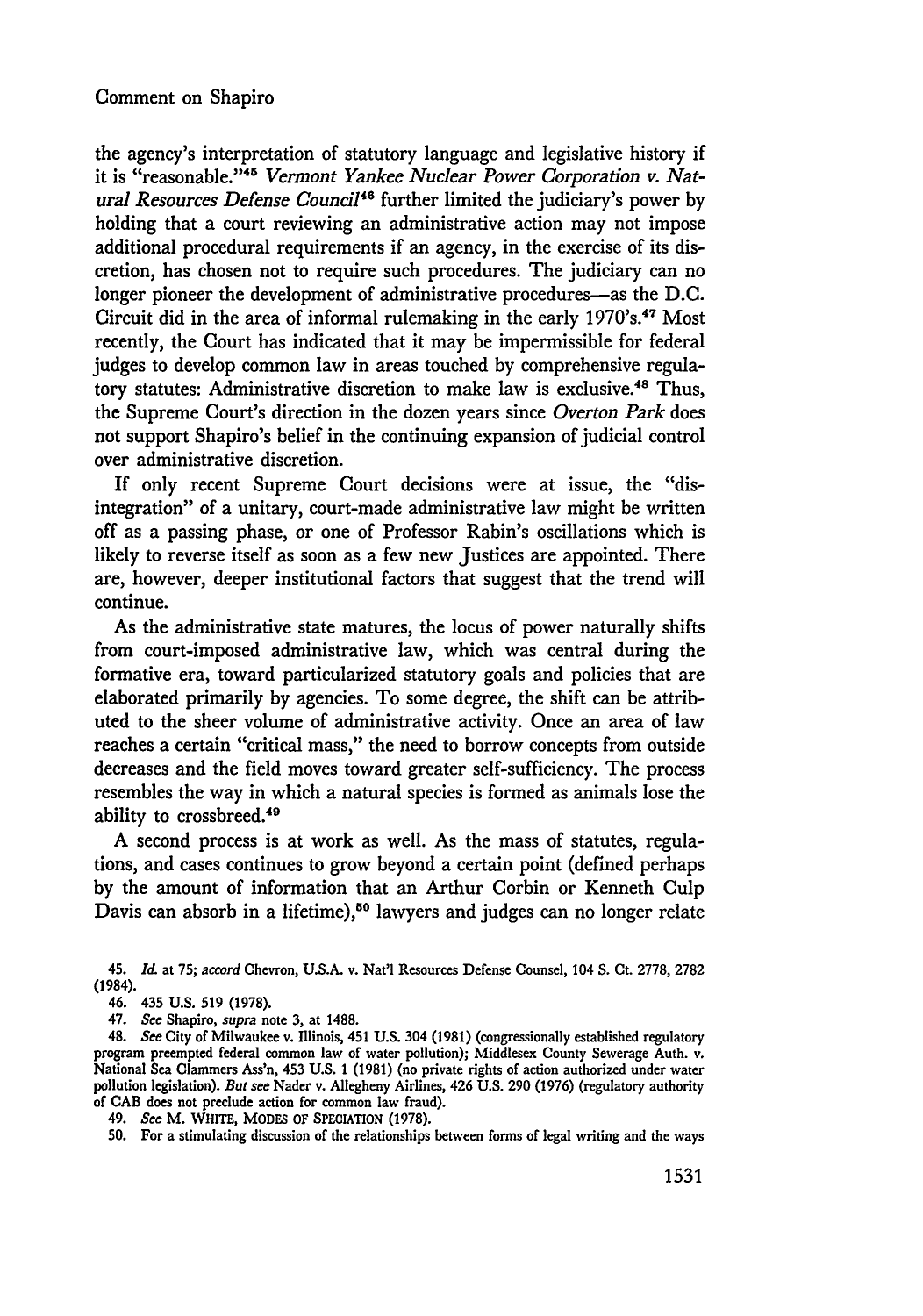the agency's interpretation of statutory language and legislative history if it is "reasonable."<sup>45</sup> Vermont Yankee Nuclear Power Corporation v. Nat*ural Resources Defense Council<sup>46</sup>* further limited the judiciary's power by holding that a court reviewing an administrative action may not impose additional procedural requirements if an agency, in the exercise of its discretion, has chosen not to require such procedures. The judiciary can no longer pioneer the development of administrative procedures-as the D.C. Circuit did in the area of informal rulemaking in the early 1970's.<sup>47</sup> Most recently, the Court has indicated that it may be impermissible for federal judges to develop common law in areas touched by comprehensive regulatory statutes: Administrative discretion to make law is exclusive.<sup>48</sup> Thus, the Supreme Court's direction in the dozen years since *Overton Park* does not support Shapiro's belief in the continuing expansion of judicial control over administrative discretion.

If only recent Supreme Court decisions were at issue, the "disintegration" of a unitary, court-made administrative law might be written off as a passing phase, or one of Professor Rabin's oscillations which is likely to reverse itself as soon as a few new Justices are appointed. There are, however, deeper institutional factors that suggest that the trend will continue.

As the administrative state matures, the locus of power naturally shifts from court-imposed administrative law, which was central during the formative era, toward particularized statutory goals and policies that are elaborated primarily by agencies. To some degree, the shift can be attributed to the sheer volume of administrative activity. Once an area of law reaches a certain "critical mass," the need to borrow concepts from outside decreases and the field moves toward greater self-sufficiency. The process resembles the way in which a natural species is formed as animals lose the ability to crossbreed.<sup>49</sup>

A second process is at work as well. As the mass of statutes, regulations, and cases continues to grow beyond a certain point (defined perhaps by the amount of information that an Arthur Corbin or Kenneth Culp Davis can absorb in a lifetime),<sup>50</sup> lawyers and judges can no longer relate

45. *Id.* at **75;** *accord* Chevron, **U.S.A.** v. Nat'l Resources Defense Counsel, 104 **S.** Ct. **2778, 2782** (1984).

47. *See* Shapiro, *supra* note 3, at 1488.

48. *See* City of Milwaukee v. Illinois, 451 U.S. 304 (1981) (congressionally established regulatory program preempted federal common law of water pollution); Middlesex County Sewerage Auth. v. National Sea Clammers Ass'n, 453 U.S. 1 (1981) (no private rights of action authorized under water pollution legislation). *But see* Nader v. Allegheny Airlines, 426 U.S. 290 (1976) (regulatory authority of **CAB** does not preclude action for common law fraud).

49. *See* M. WHITE, **MODES** OF SPECIATION **(1978).**

**50.** For a stimulating discussion of the relationships between forms of legal writing and the ways

<sup>46. 435</sup> **U.S. 519** (1978).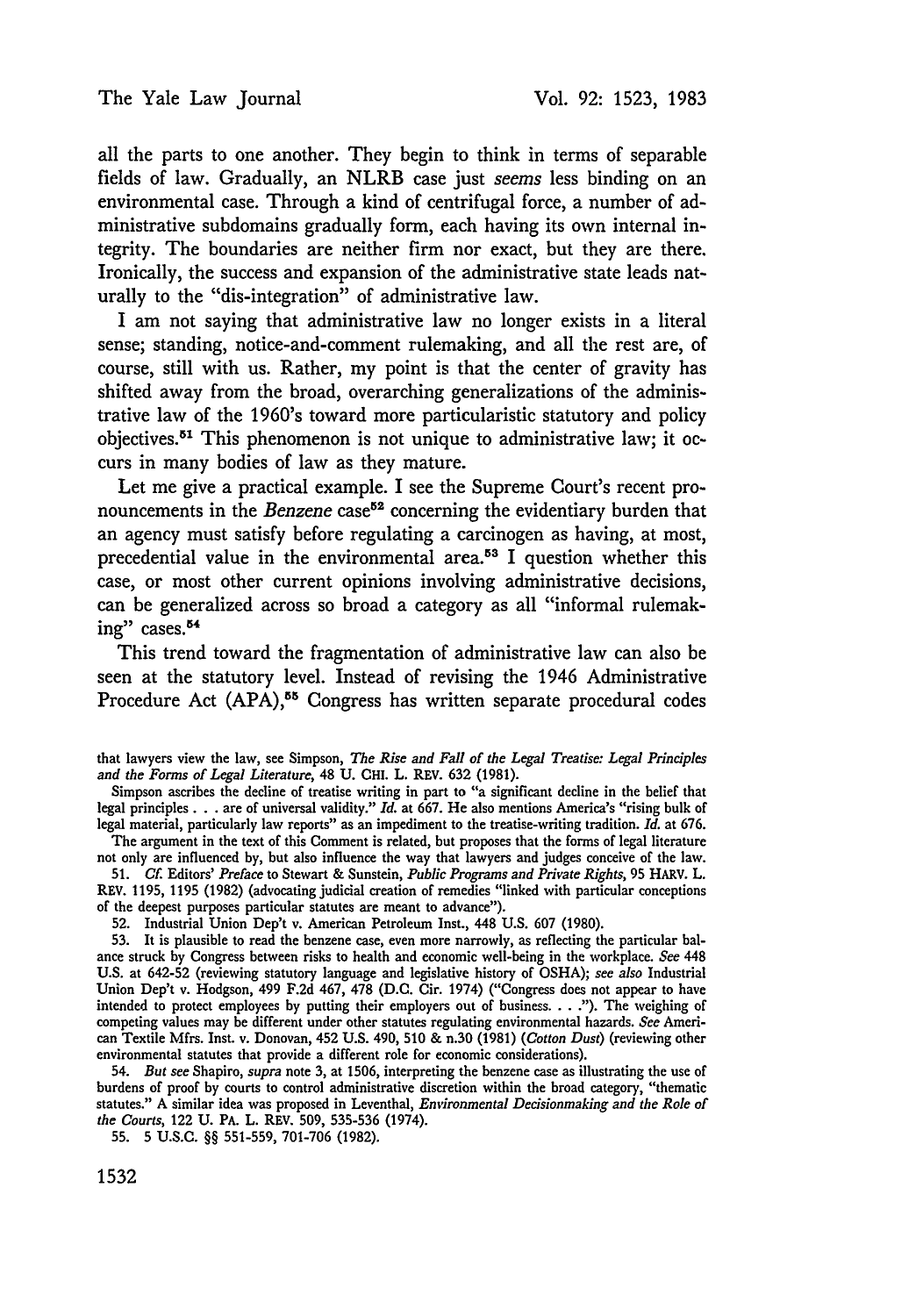all the parts to one another. They begin to think in terms of separable fields of law. Gradually, an NLRB case just *seems* less binding on an environmental case. Through a kind of centrifugal force, a number of administrative subdomains gradually form, each having its own internal integrity. The boundaries are neither firm nor exact, but they are there. Ironically, the success and expansion of the administrative state leads naturally to the "dis-integration" of administrative law.

I am not saying that administrative law no longer exists in a literal sense; standing, notice-and-comment rulemaking, and all the rest are, of course, still with us. Rather, my point is that the center of gravity has shifted away from the broad, overarching generalizations of the administrative law of the 1960's toward more particularistic statutory and policy objectives."1 This phenomenon is not unique to administrative law; it occurs in many bodies of law as they mature.

Let me give a practical example. I see the Supreme Court's recent pronouncements in the *Benzene* case<sup>52</sup> concerning the evidentiary burden that an agency must satisfy before regulating a carcinogen as having, at most, precedential value in the environmental area.53 I question whether this case, or most other current opinions involving administrative decisions, can be generalized across so broad a category as all "informal rulemaking" cases.<sup>54</sup>

This trend toward the fragmentation of administrative law can also be seen at the statutory level. Instead of revising the 1946 Administrative Procedure Act (APA),<sup>55</sup> Congress has written separate procedural codes

Simpson ascribes the decline of treatise writing in part to "a significant decline in the belief that legal principles. **. .** are of universal validity." *Id.* at 667. He also mentions America's "rising bulk of legal material, particularly law reports" as an impediment to the treatise-writing tradition. *Id.* at 676.

The argument in the text of this Comment is related, but proposes that the forms of legal literature not only are influenced **by,** but also influence the way that lawyers and judges conceive of the law.

51. *Cf.* Editors' *Preface* to Stewart & Sunstein, *Public Programs and Private Rights,* 95 HARV. L. REV. 1195, 1195 (1982) (advocating judicial creation of remedies "linked with particular conceptions of the deepest purposes particular statutes are meant to advance").

52. Industrial Union Dep't v. American Petroleum Inst., 448 U.S. 607 (1980).

53. It is plausible to read the benzene case, even more narrowly, as reflecting the particular balance struck **by** Congress between risks to health and economic well-being in the workplace. *See* 448 U.S. at 642-52 (reviewing statutory language and legislative history of OSHA); *see also* Industrial Union Dep't v. Hodgson, 499 F.2d 467, 478 (D.C. Cir. 1974) ("Congress does not appear to have intended to protect employees **by** putting their employers out of business. . . ."). The weighing of competing values may be different under other statutes regulating environmental hazards. *See* American Textile Mfrs. Inst. v. Donovan, 452 U.S. 490, **510** & n.30 (1981) *(Cotton Dust)* (reviewing other environmental statutes that provide a different role for economic considerations).

54. But *see* Shapiro, *supra* note 3, at 1506, interpreting the benzene case as illustrating the use of burdens of proof **by** courts to control administrative discretion within the broad category, "thematic statutes." A similar idea was proposed in Leventhal, *Environmental Decisionmaking and the Role of the Courts,* 122 U. PA. L. REV. 509, 535-536 (1974).

55. 5 U.S.C. §§ 551-559, 701-706 (1982).

that lawyers view the law, see Simpson, *The Rise and Fall of the Legal Treatise: Legal Principles and the Forms of Legal Literature,* 48 U. OHi. L. REv. 632 (1981).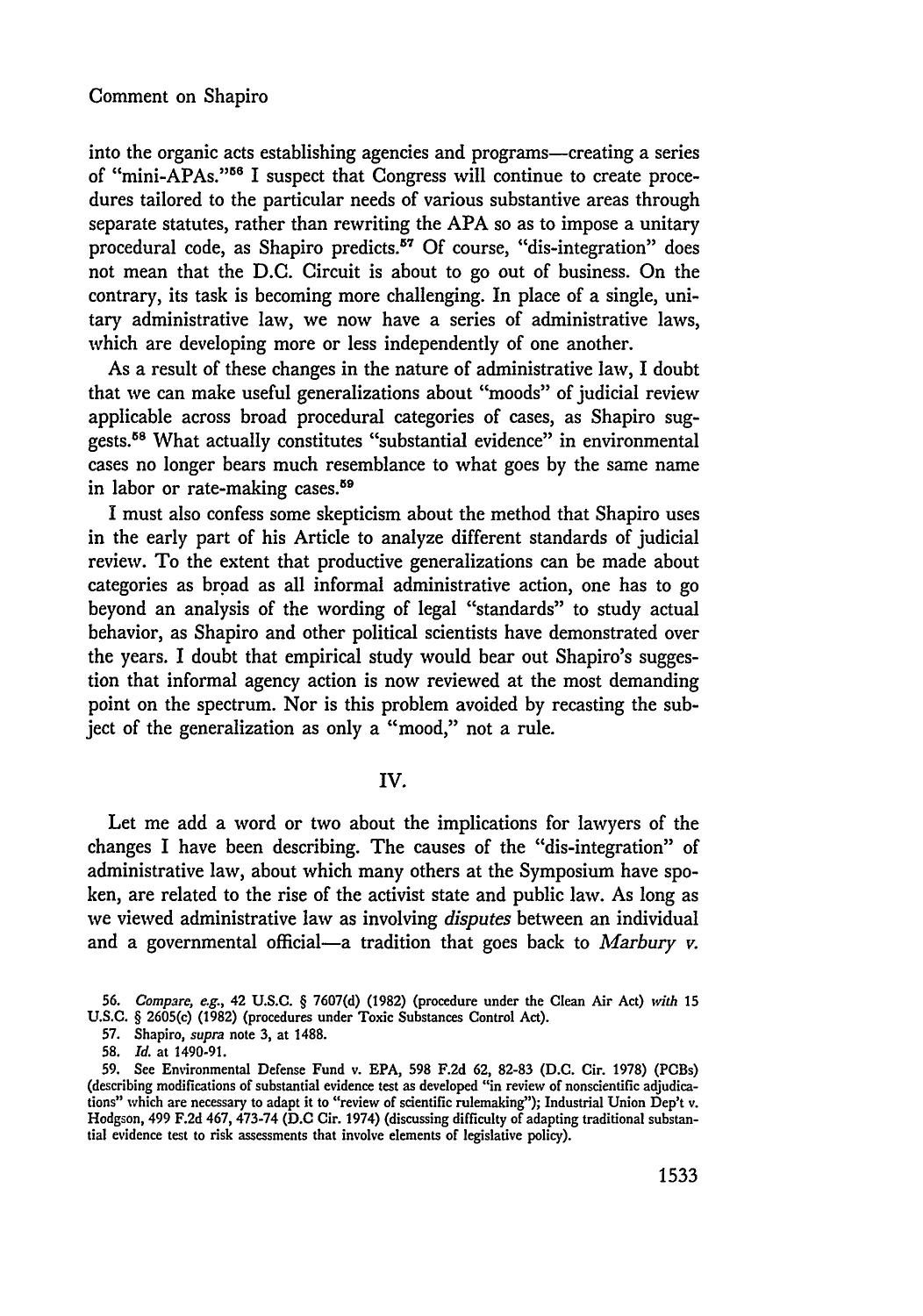#### Comment on Shapiro

into the organic acts establishing agencies and programs—creating a series of "mini-APAs."<sup>56</sup> I suspect that Congress will continue to create procedures tailored to the particular needs of various substantive areas through separate statutes, rather than rewriting the APA so as to impose a unitary procedural code, as Shapiro predicts.<sup>87</sup> Of course, "dis-integration" does not mean that the D.C. Circuit is about to go out of business. On the contrary, its task is becoming more challenging. In place of a single, unitary administrative law, we now have a series of administrative laws, which are developing more or less independently of one another.

As a result of these changes in the nature of administrative law, I doubt that we can make useful generalizations about "moods" of judicial review applicable across broad procedural categories of cases, as Shapiro suggests.58 What actually constitutes "substantial evidence" in environmental cases no longer bears much resemblance to what goes by the same name in labor or rate-making cases.<sup>59</sup>

I must also confess some skepticism about the method that Shapiro uses in the early part of his Article to analyze different standards of judicial review. To the extent that productive generalizations can be made about categories as broad as all informal administrative action, one has to go beyond an analysis of the wording of legal "standards" to study actual behavior, as Shapiro and other political scientists have demonstrated over the years. I doubt that empirical study would bear out Shapiro's suggestion that informal agency action is now reviewed at the most demanding point on the spectrum. Nor is this problem avoided by recasting the subject of the generalization as only a "mood," not a rule.

### IV.

Let me add a word or two about the implications for lawyers of the changes I have been describing. The causes of the "dis-integration" of administrative law, about which many others at the Symposium have spoken, are related to the rise of the activist state and public law. As long as we viewed administrative law as involving *disputes* between an individual and a governmental official-a tradition that goes back to *Marbury v.*

**<sup>56.</sup>** *Compare, e.g.,* 42 **U.S.C.** § 7607(d) **(1982)** (procedure under the Clean Air Act) *with* **15** U.S.C. § 2605(c) (1982) (procedures under Toxic Substances Control Act).

<sup>57.</sup> Shapiro, *supra* note 3, at 1488.

<sup>58.</sup> *Id.* at 1490-91.

<sup>59.</sup> See Environmental Defense Fund v. EPA, 598 F.2d **62,** 82-83 (D.C. Cir. 1978) (PCBs) (describing modifications of substantial evidence test as developed "in review of nonscientific adjudications" which are necessary to adapt it to "review of scientific rulemaking"); Industrial Union Dep't v. Hodgson, 499 F.2d 467, 473-74 (D.C Cir. 1974) (discussing difficulty of adapting traditional substantial evidence test to risk assessments that involve elements of legislative policy).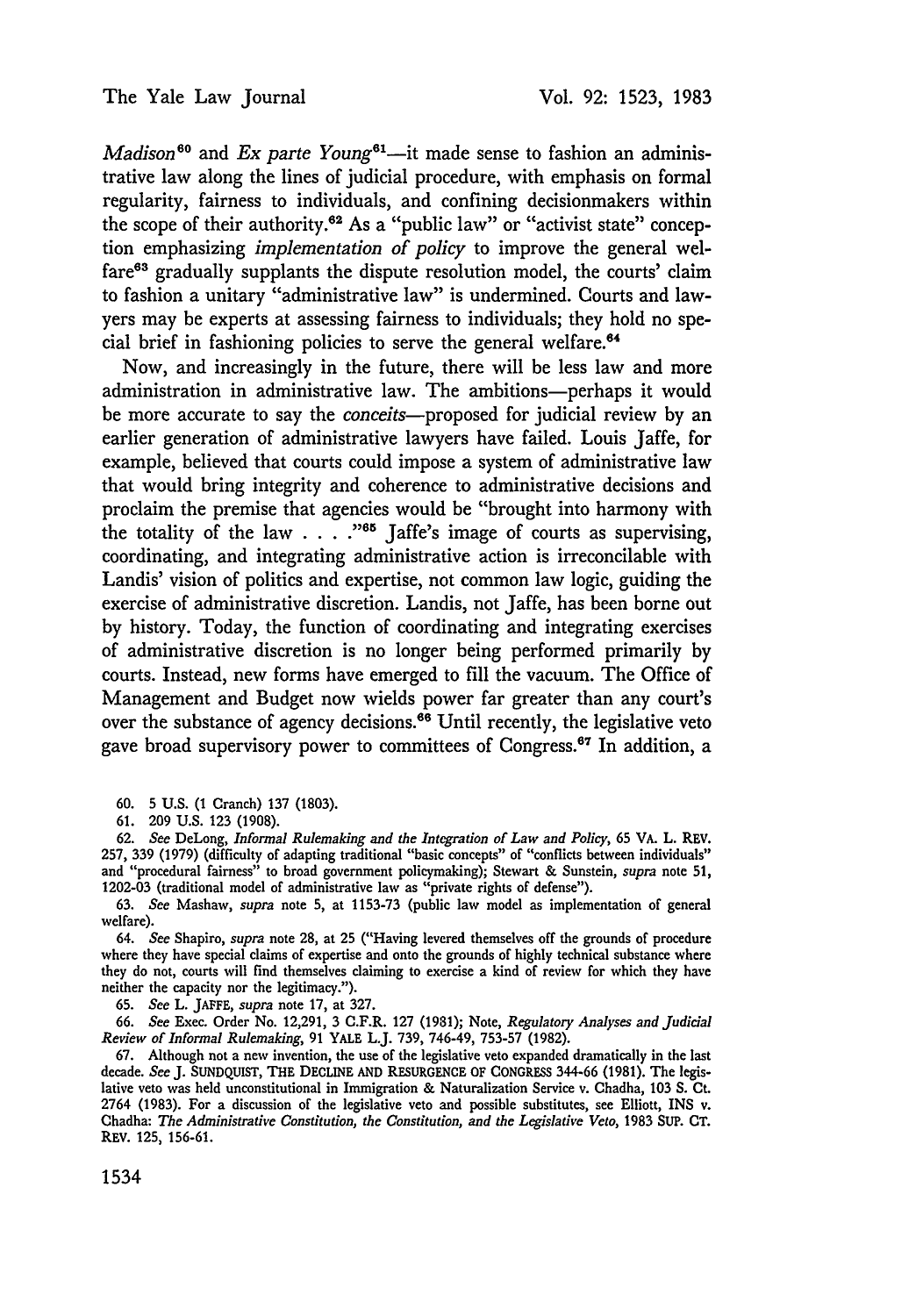**Madison60** and *Ex parte Young <sup>61</sup> -it* made sense to fashion an administrative law along the lines of judicial procedure, with emphasis on formal regularity, fairness to individuals, and confining decisionmakers within the scope of their authority.<sup>62</sup> As a "public law" or "activist state" conception emphasizing *implementation of policy* to improve the general welfare<sup>63</sup> gradually supplants the dispute resolution model, the courts' claim to fashion a unitary "administrative law" is undermined. Courts and lawyers may be experts at assessing fairness to individuals; they hold no special brief in fashioning policies to serve the general welfare.<sup>64</sup>

Now, and increasingly in the future, there will be less law and more administration in administrative law. The ambitions-perhaps it would be more accurate to say the *conceits-proposed* for judicial review **by** an earlier generation of administrative lawyers have failed. Louis Jaffe, for example, believed that courts could impose a system of administrative law that would bring integrity and coherence to administrative decisions and proclaim the premise that agencies would be "brought into harmony with the totality of the law . . . .<sup>166</sup> Jaffe's image of courts as supervising, coordinating, and integrating administrative action is irreconcilable with Landis' vision of politics and expertise, not common law logic, guiding the exercise of administrative discretion. Landis, not Jaffe, has been borne out **by** history. Today, the function of coordinating and integrating exercises of administrative discretion is no longer being performed primarily **by** courts. Instead, new forms have emerged to **fill** the vacuum. The Office of Management and Budget now wields power far greater than any court's over the substance of agency decisions.<sup>66</sup> Until recently, the legislative veto gave broad supervisory power to committees of Congress.<sup>67</sup> In addition, a

**62.** *See* DeLong, *Informal Rulemaking and the Integration of Law and Policy,* 65 VA. L. REV. **257, 339 (1979)** (difficulty of adapting traditional "basic concepts" of "conflicts between individuals" and "procedural fairness" to broad government policymaking); Stewart **&** Sunstein, *supra* note **51, 1202-03** (traditional model of administrative law as "private rights of defense").

**63.** *See* Mashaw, *supra* note **5,** at **1153-73** (public law model as implementation of general welfare).

64. *See* Shapiro, *supra* note **28,** at **25** ("Having levered themselves off the grounds of procedure where they have special claims of expertise and onto the grounds of **highly** technical substance where they do not, courts will find themselves claiming to exercise a kind of review for which they have neither the capacity nor the legitimacy.").

**65.** *See* L. **JAFFE,** *supra* note **17,** at **327.**

**66.** *See* Exec. Order No. 12,291, 3 C.F.R. 127 (1981); Note, *Regulatory Analyses and Judicial Review of Informal Rulemaking,* 91 YALE L.J. 739, 746-49, 753-57 (1982).

67. Although not a new invention, the use of the legislative veto expanded dramatically in the last decade. *See* J. SUNDQUIST, THE **DECLINE AND** RESURGENCE OF CONGRESS 344-66 (1981). The legislative veto was held unconstitutional in Immigration & Naturalization Service v. Chadha, 103 **S.** Ct. 2764 (1983). For a discussion of the legislative veto and possible substitutes, see Elliott, INS v. Chadha: *The Administrative Constitution, the Constitution, and the Legislative Veto,* 1983 SUP. **CT.** REV. **125,** 156-61.

**<sup>60. 5</sup> U.S.** (1 Cranch) **137 (1803).**

**<sup>61. 209</sup> U.S. 123 (1908).**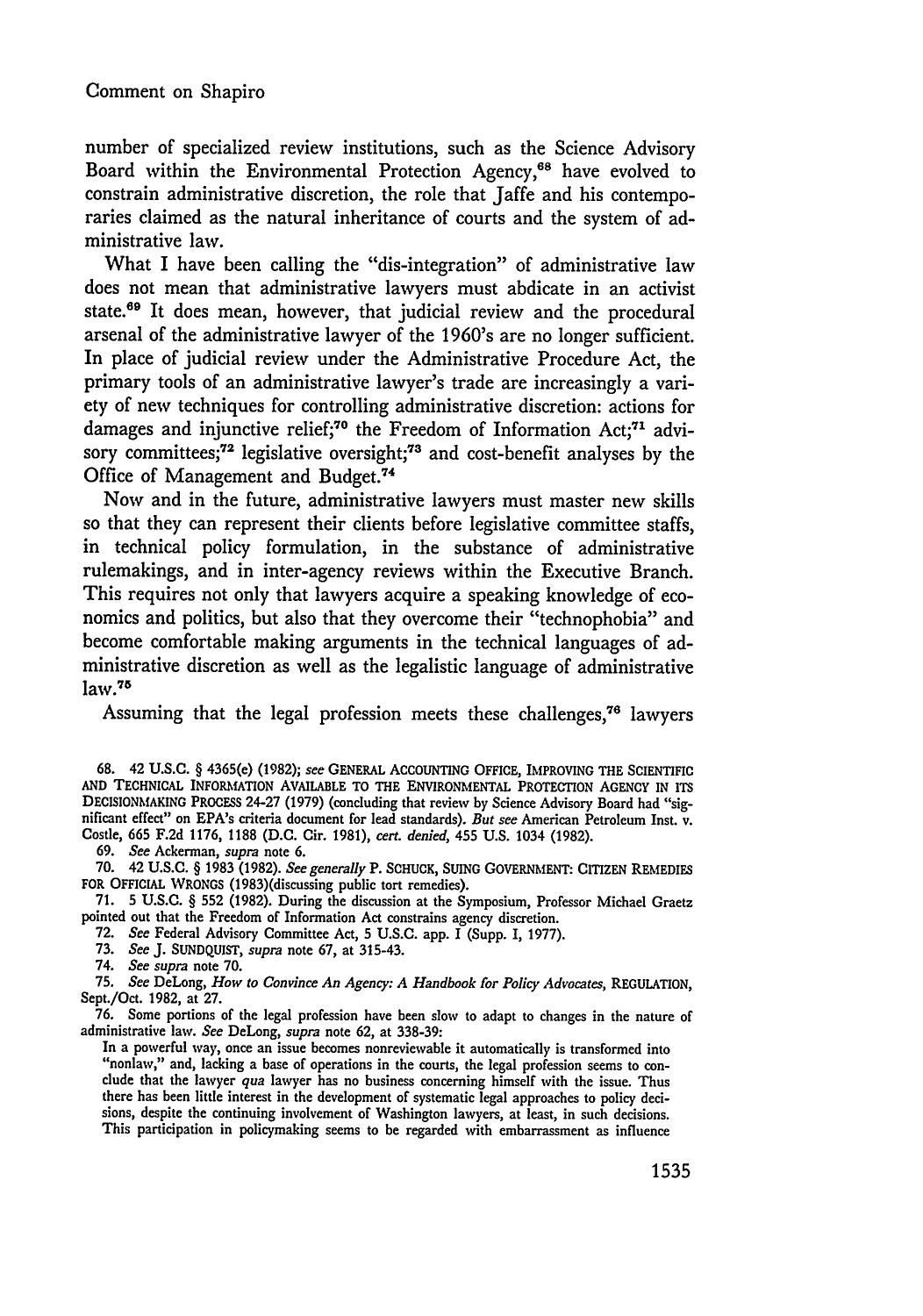number of specialized review institutions, such as the Science Advisory Board within the Environmental Protection Agency,<sup>68</sup> have evolved to constrain administrative discretion, the role that Jaffe and his contemporaries claimed as the natural inheritance of courts and the system of administrative law.

What I have been calling the "dis-integration" of administrative law does not mean that administrative lawyers must abdicate in an activist state.<sup>69</sup> It does mean, however, that judicial review and the procedural arsenal of the administrative lawyer of the 1960's are no longer sufficient. In place of judicial review under the Administrative Procedure Act, the primary tools of an administrative lawyer's trade are increasingly a variety of new techniques for controlling administrative discretion: actions for damages and injunctive relief;<sup>70</sup> the Freedom of Information Act;<sup>71</sup> advisory committees;72 legislative oversight;73 and cost-benefit analyses **by** the Office of Management and Budget.74

Now and in the future, administrative lawyers must master new skills so that they can represent their clients before legislative committee staffs, in technical policy formulation, in the substance of administrative rulemakings, and in inter-agency reviews within the Executive Branch. This requires not only that lawyers acquire a speaking knowledge of economics and politics, but also that they overcome their "technophobia" and become comfortable making arguments in the technical languages of administrative discretion as well as the legalistic language of administrative law.<sup>75</sup>

Assuming that the legal profession meets these challenges.<sup>76</sup> lawyers

**68.** 42 **U.S.C.** § 4365(e) **(1982);** *see* GENERAL ACCOUNTING **OFFICE,** IMPROVING THE **SCIENTIFIC AND TECHNICAL** INFORMATION AVAILABLE TO THE **ENVIRONMENTAL PROTECTION AGENCY IN ITS** DECISIONMAKING **PROCESS** 24-27 **(1979)** (concluding that review by Science Advisory Board had "significant effect" on EPA's criteria document for lead standards). *But see* American Petroleum Inst. v. Castle, **665 F.2d 1176, 1188 (D.C.** Cir. **1981),** *cert. denied,* 455 **U.S.** 1034 **(1982).**

**69.** *See* Ackerman, *supra* note **6.**

**70.** 42 **U.S.C.** § **1983 (1982).** *See generally* **P. SCHUCK,** SUING GOvERNMENT: CITIZEN REMEDIES FOR **OFFICIAL** WRONGS (1983)(discussing public tort remedies).

**71.** 5 **U.S.C.** § **552 (1982).** During **the** discussion at the Symposium, Professor Michael Graetz pointed out that the Freedom of Information Act constrains agency discretion.

**72.** *See* Federal Advisory Committee Act, 5 **U.S.C.** app. I (Supp. I, **1977).**

**73.** *See* **J. SUNDQUIST,** *supra* note **67,** at 315-43.

74. *See supra* note **70.**

**75.** *See* DeLong, *How to Convince An Agency: A Handbook for Policy Advocates,* **REGULATION,** Sept./Oct. **1982,** at **27.**

**76.** Some portions of the legal profession have been slow to adapt to changes in the nature of administrative law. *See* DeLong, *supra* note **62,** at **338-39:**

In a powerful way, once an issue becomes nonreviewable it automatically is transformed into "nonlaw," and, lacking a base of operations in the courts, the legal profession seems to conclude that the lawyer *qua* lawyer has no business concerning himself with the issue. Thus there has been little interest in the development of systematic legal approaches to policy decisions, despite the continuing involvement of Washington lawyers, at least, in such decisions. This participation in policymaking seems to be regarded with embarrassment as influence